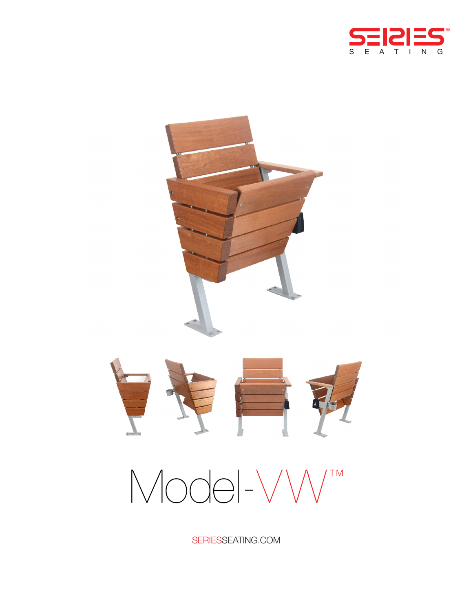



# $Mod-VW^{m}$

SERIESSEATING.COM